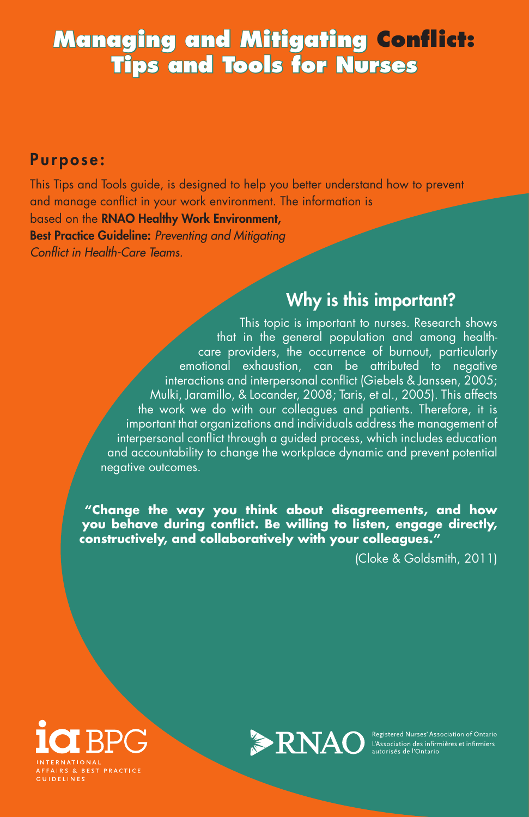# **Managing and Mitigating Conflict: Tips and Tools for Nurses**

#### Purpose:

This Tips and Tools guide, is designed to help you better understand how to prevent and manage conflict in your work environment. The information is

based on the RNAO Healthy Work Environment, Best Practice Guideline: *Preventing and Mitigating Conflict in Health-Care Teams.*

## Why is this important?

This topic is important to nurses. Research shows that in the general population and among healthcare providers, the occurrence of burnout, particularly emotional exhaustion, can be attributed to negative interactions and interpersonal conflict (Giebels & Janssen, 2005; Mulki, Jaramillo, & Locander, 2008; Taris, et al., 2005). This affects the work we do with our colleagues and patients. Therefore, it is important that organizations and individuals address the management of interpersonal conflict through a guided process, which includes education and accountability to change the workplace dynamic and prevent potential negative outcomes.

**"Change the way you think about disagreements, and how you behave during conflict. Be willing to listen, engage directly, constructively, and collaboratively with your colleagues."** 

(Cloke & Goldsmith, 2011)



**GUIDELINES** 

**ENAO** Registered Nurses' Association of Ontario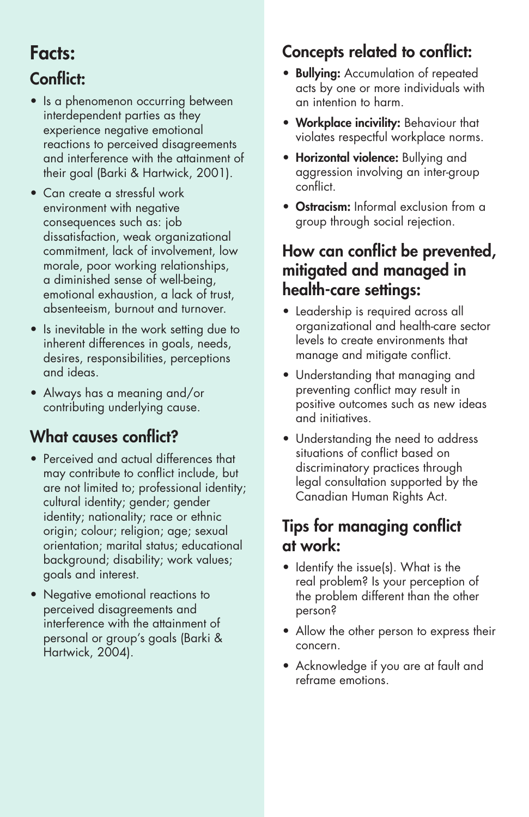# Facts: Conflict:

- Is a phenomenon occurring between interdependent parties as they experience negative emotional reactions to perceived disagreements and interference with the attainment of their goal (Barki & Hartwick, 2001).
- Can create a stressful work environment with negative consequences such as: job dissatisfaction, weak organizational commitment, lack of involvement, low morale, poor working relationships, a diminished sense of well-being, emotional exhaustion, a lack of trust, absenteeism, burnout and turnover.
- Is inevitable in the work setting due to inherent differences in goals, needs, desires, responsibilities, perceptions and ideas.
- Always has a meaning and/or contributing underlying cause.

## What causes conflict?

- Perceived and actual differences that may contribute to conflict include, but are not limited to; professional identity; cultural identity; gender; gender identity; nationality; race or ethnic origin; colour; religion; age; sexual orientation; marital status; educational background; disability; work values; goals and interest.
- Negative emotional reactions to perceived disagreements and interference with the attainment of personal or group's goals (Barki & Hartwick, 2004).

# Concepts related to conflict:

- Bullying: Accumulation of repeated acts by one or more individuals with an intention to harm.
- Workplace incivility: Behaviour that violates respectful workplace norms.
- Horizontal violence: Bullying and aggression involving an inter-group conflict.
- Ostracism: Informal exclusion from a group through social rejection.

#### How can conflict be prevented, mitigated and managed in health-care settings:

- Leadership is required across all organizational and health-care sector levels to create environments that manage and mitigate conflict.
- Understanding that managing and preventing conflict may result in positive outcomes such as new ideas and initiatives.
- Understanding the need to address situations of conflict based on discriminatory practices through legal consultation supported by the Canadian Human Rights Act.

## Tips for managing conflict at work:

- Identify the issue(s). What is the real problem? Is your perception of the problem different than the other person?
- Allow the other person to express their concern.
- Acknowledge if you are at fault and reframe emotions.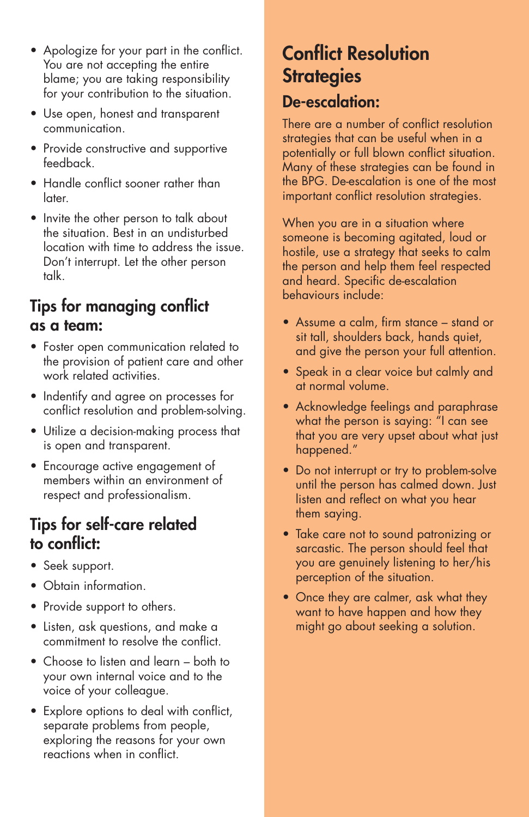- Apologize for your part in the conflict. You are not accepting the entire blame; you are taking responsibility for your contribution to the situation.
- Use open, honest and transparent communication.
- Provide constructive and supportive feedback.
- Handle conflict sooner rather than later.
- Invite the other person to talk about the situation. Best in an undisturbed location with time to address the issue. Don't interrupt. Let the other person talk.

### Tips for managing conflict as a team:

- Foster open communication related to the provision of patient care and other work related activities.
- Indentify and agree on processes for conflict resolution and problem-solving.
- Utilize a decision-making process that is open and transparent.
- Encourage active engagement of members within an environment of respect and professionalism.

### Tips for self-care related to conflict:

- Seek support.
- Obtain information.
- Provide support to others.
- Listen, ask questions, and make a commitment to resolve the conflict.
- Choose to listen and learn both to your own internal voice and to the voice of your colleague.
- Explore options to deal with conflict, separate problems from people, exploring the reasons for your own reactions when in conflict.

# Conflict Resolution **Strategies** De-escalation:

There are a number of conflict resolution strategies that can be useful when in a potentially or full blown conflict situation. Many of these strategies can be found in the BPG. De-escalation is one of the most important conflict resolution strategies.

When you are in a situation where someone is becoming agitated, loud or hostile, use a strategy that seeks to calm the person and help them feel respected and heard. Specific de-escalation behaviours include:

- Assume a calm, firm stance stand or sit tall, shoulders back, hands quiet, and give the person your full attention.
- Speak in a clear voice but calmly and at normal volume.
- Acknowledge feelings and paraphrase what the person is saying: "I can see that you are very upset about what just happened."
- Do not interrupt or try to problem-solve until the person has calmed down. Just listen and reflect on what you hear them saying.
- Take care not to sound patronizing or sarcastic. The person should feel that you are genuinely listening to her/his perception of the situation.
- Once they are calmer, ask what they want to have happen and how they might go about seeking a solution.